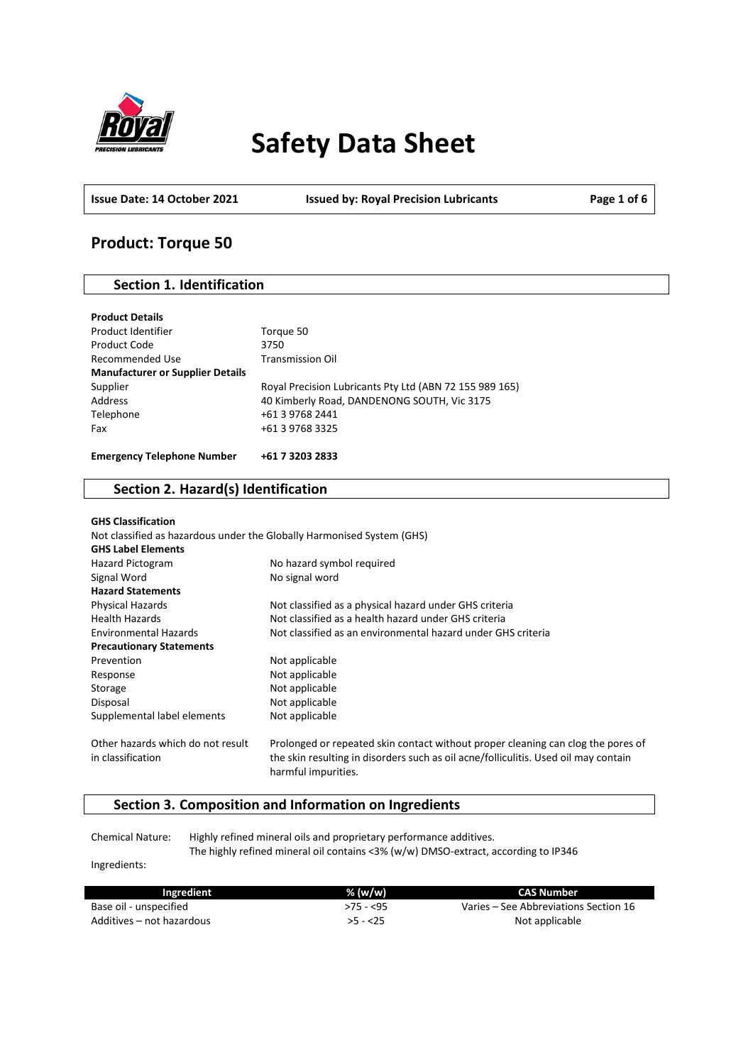

# **Safety Data Sheet**

**Issue Date: 14 October 2021 Issued by: Royal Precision Lubricants Page 1 of 6**

## **Product: Torque 50**

## **Section 1. Identification**

| Torque 50                                               |
|---------------------------------------------------------|
| 3750                                                    |
| <b>Transmission Oil</b>                                 |
|                                                         |
| Royal Precision Lubricants Pty Ltd (ABN 72 155 989 165) |
| 40 Kimberly Road, DANDENONG SOUTH, Vic 3175             |
| +61 3 9768 2441                                         |
| +61 3 9768 3325                                         |
| +61 7 3203 2833                                         |
|                                                         |

## **Section 2. Hazard(s) Identification**

| <b>GHS Classification</b>                                              |                                                                                                                                                                                                |
|------------------------------------------------------------------------|------------------------------------------------------------------------------------------------------------------------------------------------------------------------------------------------|
| Not classified as hazardous under the Globally Harmonised System (GHS) |                                                                                                                                                                                                |
| <b>GHS Label Elements</b>                                              |                                                                                                                                                                                                |
| Hazard Pictogram                                                       | No hazard symbol required                                                                                                                                                                      |
| Signal Word                                                            | No signal word                                                                                                                                                                                 |
| <b>Hazard Statements</b>                                               |                                                                                                                                                                                                |
| <b>Physical Hazards</b>                                                | Not classified as a physical hazard under GHS criteria                                                                                                                                         |
| <b>Health Hazards</b>                                                  | Not classified as a health hazard under GHS criteria                                                                                                                                           |
| <b>Environmental Hazards</b>                                           | Not classified as an environmental hazard under GHS criteria                                                                                                                                   |
| <b>Precautionary Statements</b>                                        |                                                                                                                                                                                                |
| Prevention                                                             | Not applicable                                                                                                                                                                                 |
| Response                                                               | Not applicable                                                                                                                                                                                 |
| Storage                                                                | Not applicable                                                                                                                                                                                 |
| Disposal                                                               | Not applicable                                                                                                                                                                                 |
| Supplemental label elements                                            | Not applicable                                                                                                                                                                                 |
| Other hazards which do not result<br>in classification                 | Prolonged or repeated skin contact without proper cleaning can clog the pores of<br>the skin resulting in disorders such as oil acne/folliculitis. Used oil may contain<br>harmful impurities. |

## **Section 3. Composition and Information on Ingredients**

Chemical Nature: Highly refined mineral oils and proprietary performance additives. The highly refined mineral oil contains <3% (w/w) DMSO-extract, according to IP346

Ingredients:

| Ingredient                | % (w/w)    | CAS Number                            |
|---------------------------|------------|---------------------------------------|
| Base oil - unspecified    | $>75 - 55$ | Varies – See Abbreviations Section 16 |
| Additives – not hazardous | $>5 - 25$  | Not applicable                        |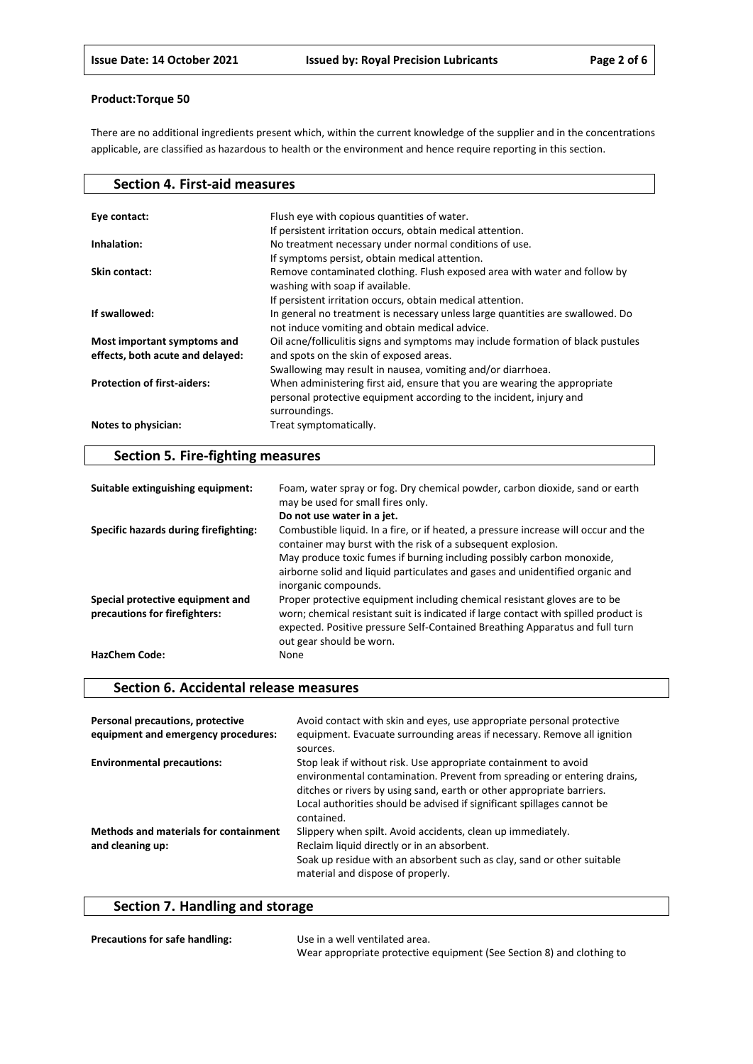There are no additional ingredients present which, within the current knowledge of the supplier and in the concentrations applicable, are classified as hazardous to health or the environment and hence require reporting in this section.

| Flush eye with copious quantities of water.<br>Eye contact:<br>If persistent irritation occurs, obtain medical attention.<br>No treatment necessary under normal conditions of use.<br>Inhalation:<br>If symptoms persist, obtain medical attention. |
|------------------------------------------------------------------------------------------------------------------------------------------------------------------------------------------------------------------------------------------------------|
|                                                                                                                                                                                                                                                      |
|                                                                                                                                                                                                                                                      |
|                                                                                                                                                                                                                                                      |
|                                                                                                                                                                                                                                                      |
|                                                                                                                                                                                                                                                      |
| Remove contaminated clothing. Flush exposed area with water and follow by<br>Skin contact:                                                                                                                                                           |
| washing with soap if available.                                                                                                                                                                                                                      |
| If persistent irritation occurs, obtain medical attention.                                                                                                                                                                                           |
| If swallowed:<br>In general no treatment is necessary unless large quantities are swallowed. Do                                                                                                                                                      |
| not induce vomiting and obtain medical advice.                                                                                                                                                                                                       |
| Oil acne/folliculitis signs and symptoms may include formation of black pustules<br>Most important symptoms and                                                                                                                                      |
| and spots on the skin of exposed areas.<br>effects, both acute and delayed:                                                                                                                                                                          |
| Swallowing may result in nausea, vomiting and/or diarrhoea.                                                                                                                                                                                          |
| <b>Protection of first-aiders:</b><br>When administering first aid, ensure that you are wearing the appropriate                                                                                                                                      |
| personal protective equipment according to the incident, injury and                                                                                                                                                                                  |
| surroundings.                                                                                                                                                                                                                                        |
| Notes to physician:<br>Treat symptomatically.                                                                                                                                                                                                        |

## **Section 5. Fire-fighting measures**

| Suitable extinguishing equipment:                                 | Foam, water spray or fog. Dry chemical powder, carbon dioxide, sand or earth<br>may be used for small fires only.                                                                                                                                                            |
|-------------------------------------------------------------------|------------------------------------------------------------------------------------------------------------------------------------------------------------------------------------------------------------------------------------------------------------------------------|
|                                                                   | Do not use water in a jet.                                                                                                                                                                                                                                                   |
| Specific hazards during firefighting:                             | Combustible liquid. In a fire, or if heated, a pressure increase will occur and the<br>container may burst with the risk of a subsequent explosion.<br>May produce toxic fumes if burning including possibly carbon monoxide,                                                |
|                                                                   | airborne solid and liquid particulates and gases and unidentified organic and<br>inorganic compounds.                                                                                                                                                                        |
| Special protective equipment and<br>precautions for firefighters: | Proper protective equipment including chemical resistant gloves are to be<br>worn; chemical resistant suit is indicated if large contact with spilled product is<br>expected. Positive pressure Self-Contained Breathing Apparatus and full turn<br>out gear should be worn. |
| <b>HazChem Code:</b>                                              | None                                                                                                                                                                                                                                                                         |

## **Section 6. Accidental release measures**

| Personal precautions, protective<br>equipment and emergency procedures: | Avoid contact with skin and eyes, use appropriate personal protective<br>equipment. Evacuate surrounding areas if necessary. Remove all ignition<br>sources.                                                                                                                                                |
|-------------------------------------------------------------------------|-------------------------------------------------------------------------------------------------------------------------------------------------------------------------------------------------------------------------------------------------------------------------------------------------------------|
| <b>Environmental precautions:</b>                                       | Stop leak if without risk. Use appropriate containment to avoid<br>environmental contamination. Prevent from spreading or entering drains,<br>ditches or rivers by using sand, earth or other appropriate barriers.<br>Local authorities should be advised if significant spillages cannot be<br>contained. |
| <b>Methods and materials for containment</b><br>and cleaning up:        | Slippery when spilt. Avoid accidents, clean up immediately.<br>Reclaim liquid directly or in an absorbent.<br>Soak up residue with an absorbent such as clay, sand or other suitable<br>material and dispose of properly.                                                                                   |

## **Section 7. Handling and storage**

| Precautions for safe handling: | Use in a well ventilated area.                                        |
|--------------------------------|-----------------------------------------------------------------------|
|                                | Wear appropriate protective equipment (See Section 8) and clothing to |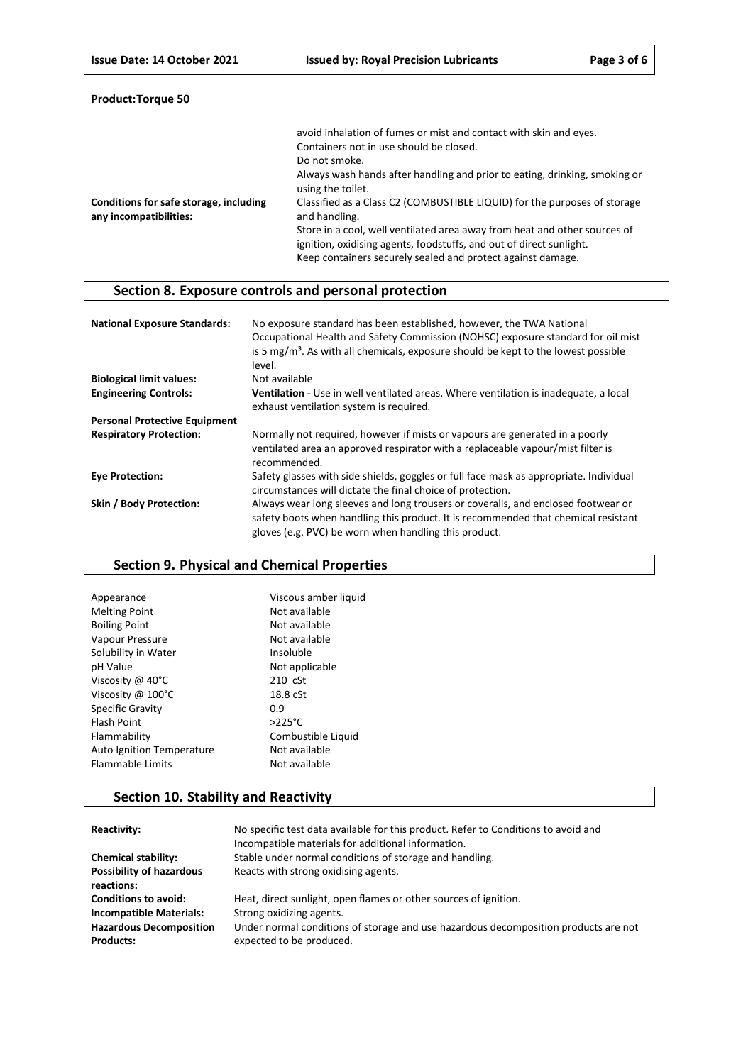| <b>Product:Torque 50</b> |  |
|--------------------------|--|
|--------------------------|--|

|                                                                  | avoid inhalation of fumes or mist and contact with skin and eyes.<br>Containers not in use should be closed.                                                                                                    |
|------------------------------------------------------------------|-----------------------------------------------------------------------------------------------------------------------------------------------------------------------------------------------------------------|
|                                                                  | Do not smoke.                                                                                                                                                                                                   |
|                                                                  | Always wash hands after handling and prior to eating, drinking, smoking or<br>using the toilet.                                                                                                                 |
| Conditions for safe storage, including<br>any incompatibilities: | Classified as a Class C2 (COMBUSTIBLE LIQUID) for the purposes of storage<br>and handling.                                                                                                                      |
|                                                                  | Store in a cool, well ventilated area away from heat and other sources of<br>ignition, oxidising agents, foodstuffs, and out of direct sunlight.<br>Keep containers securely sealed and protect against damage. |

## **Section 8. Exposure controls and personal protection**

| <b>National Exposure Standards:</b>  | No exposure standard has been established, however, the TWA National<br>Occupational Health and Safety Commission (NOHSC) exposure standard for oil mist<br>is 5 $mg/m3$ . As with all chemicals, exposure should be kept to the lowest possible<br>level. |
|--------------------------------------|------------------------------------------------------------------------------------------------------------------------------------------------------------------------------------------------------------------------------------------------------------|
| <b>Biological limit values:</b>      | Not available                                                                                                                                                                                                                                              |
| <b>Engineering Controls:</b>         | <b>Ventilation</b> - Use in well ventilated areas. Where ventilation is inadequate, a local<br>exhaust ventilation system is required.                                                                                                                     |
| <b>Personal Protective Equipment</b> |                                                                                                                                                                                                                                                            |
| <b>Respiratory Protection:</b>       | Normally not required, however if mists or vapours are generated in a poorly<br>ventilated area an approved respirator with a replaceable vapour/mist filter is<br>recommended.                                                                            |
| <b>Eye Protection:</b>               | Safety glasses with side shields, goggles or full face mask as appropriate. Individual<br>circumstances will dictate the final choice of protection.                                                                                                       |
| Skin / Body Protection:              | Always wear long sleeves and long trousers or coveralls, and enclosed footwear or<br>safety boots when handling this product. It is recommended that chemical resistant<br>gloves (e.g. PVC) be worn when handling this product.                           |

## **Section 9. Physical and Chemical Properties**

| Viscous amber liquid |
|----------------------|
| Not available        |
| Not available        |
| Not available        |
| Insoluble            |
| Not applicable       |
| $210 \text{ cSt}$    |
| 18.8 cSt             |
| 0.9                  |
| $>225^{\circ}$ C     |
| Combustible Liquid   |
| Not available        |
| Not available        |
|                      |

## **Section 10. Stability and Reactivity**

| Reactivity:                                        | No specific test data available for this product. Refer to Conditions to avoid and<br>Incompatible materials for additional information. |
|----------------------------------------------------|------------------------------------------------------------------------------------------------------------------------------------------|
| <b>Chemical stability:</b>                         | Stable under normal conditions of storage and handling.                                                                                  |
| <b>Possibility of hazardous</b><br>reactions:      | Reacts with strong oxidising agents.                                                                                                     |
| <b>Conditions to avoid:</b>                        | Heat, direct sunlight, open flames or other sources of ignition.                                                                         |
| <b>Incompatible Materials:</b>                     | Strong oxidizing agents.                                                                                                                 |
| <b>Hazardous Decomposition</b><br><b>Products:</b> | Under normal conditions of storage and use hazardous decomposition products are not<br>expected to be produced.                          |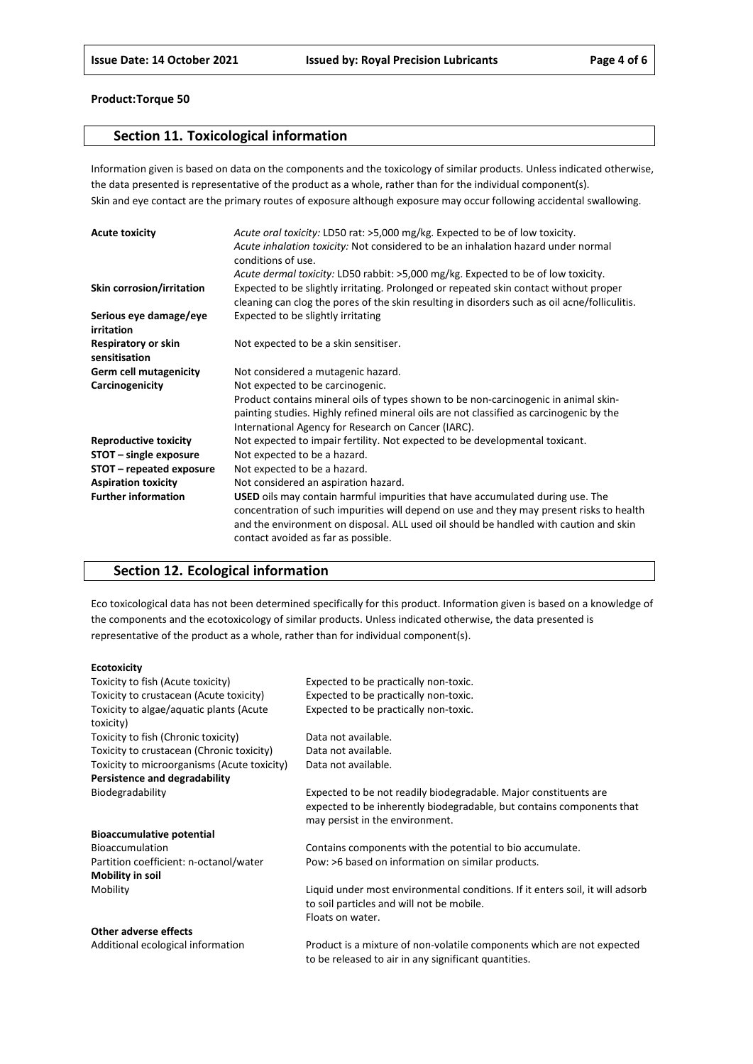## **Section 11. Toxicological information**

Information given is based on data on the components and the toxicology of similar products. Unless indicated otherwise, the data presented is representative of the product as a whole, rather than for the individual component(s). Skin and eye contact are the primary routes of exposure although exposure may occur following accidental swallowing.

| <b>Acute toxicity</b>                | Acute oral toxicity: LD50 rat: >5,000 mg/kg. Expected to be of low toxicity.<br>Acute inhalation toxicity: Not considered to be an inhalation hazard under normal<br>conditions of use.                                                                                                                           |
|--------------------------------------|-------------------------------------------------------------------------------------------------------------------------------------------------------------------------------------------------------------------------------------------------------------------------------------------------------------------|
|                                      | Acute dermal toxicity: LD50 rabbit: >5,000 mg/kg. Expected to be of low toxicity.                                                                                                                                                                                                                                 |
| Skin corrosion/irritation            | Expected to be slightly irritating. Prolonged or repeated skin contact without proper<br>cleaning can clog the pores of the skin resulting in disorders such as oil acne/folliculitis.                                                                                                                            |
| Serious eye damage/eye<br>irritation | Expected to be slightly irritating                                                                                                                                                                                                                                                                                |
| Respiratory or skin<br>sensitisation | Not expected to be a skin sensitiser.                                                                                                                                                                                                                                                                             |
| <b>Germ cell mutagenicity</b>        | Not considered a mutagenic hazard.                                                                                                                                                                                                                                                                                |
| Carcinogenicity                      | Not expected to be carcinogenic.                                                                                                                                                                                                                                                                                  |
|                                      | Product contains mineral oils of types shown to be non-carcinogenic in animal skin-                                                                                                                                                                                                                               |
|                                      | painting studies. Highly refined mineral oils are not classified as carcinogenic by the                                                                                                                                                                                                                           |
|                                      | International Agency for Research on Cancer (IARC).                                                                                                                                                                                                                                                               |
| <b>Reproductive toxicity</b>         | Not expected to impair fertility. Not expected to be developmental toxicant.                                                                                                                                                                                                                                      |
| STOT - single exposure               | Not expected to be a hazard.                                                                                                                                                                                                                                                                                      |
| STOT – repeated exposure             | Not expected to be a hazard.                                                                                                                                                                                                                                                                                      |
| <b>Aspiration toxicity</b>           | Not considered an aspiration hazard.                                                                                                                                                                                                                                                                              |
| <b>Further information</b>           | <b>USED</b> oils may contain harmful impurities that have accumulated during use. The<br>concentration of such impurities will depend on use and they may present risks to health<br>and the environment on disposal. ALL used oil should be handled with caution and skin<br>contact avoided as far as possible. |

## **Section 12. Ecological information**

Eco toxicological data has not been determined specifically for this product. Information given is based on a knowledge of the components and the ecotoxicology of similar products. Unless indicated otherwise, the data presented is representative of the product as a whole, rather than for individual component(s).

#### **Ecotoxicity**

| Toxicity to fish (Acute toxicity)                    | Expected to be practically non-toxic.                                                                                                                                        |
|------------------------------------------------------|------------------------------------------------------------------------------------------------------------------------------------------------------------------------------|
| Toxicity to crustacean (Acute toxicity)              | Expected to be practically non-toxic.                                                                                                                                        |
| Toxicity to algae/aquatic plants (Acute<br>toxicity) | Expected to be practically non-toxic.                                                                                                                                        |
| Toxicity to fish (Chronic toxicity)                  | Data not available.                                                                                                                                                          |
| Toxicity to crustacean (Chronic toxicity)            | Data not available.                                                                                                                                                          |
| Toxicity to microorganisms (Acute toxicity)          | Data not available.                                                                                                                                                          |
| Persistence and degradability                        |                                                                                                                                                                              |
| Biodegradability                                     | Expected to be not readily biodegradable. Major constituents are<br>expected to be inherently biodegradable, but contains components that<br>may persist in the environment. |
| <b>Bioaccumulative potential</b>                     |                                                                                                                                                                              |
| <b>Bioaccumulation</b>                               | Contains components with the potential to bio accumulate.                                                                                                                    |
| Partition coefficient: n-octanol/water               | Pow: >6 based on information on similar products.                                                                                                                            |
| Mobility in soil                                     |                                                                                                                                                                              |
| Mobility                                             | Liquid under most environmental conditions. If it enters soil, it will adsorb<br>to soil particles and will not be mobile.                                                   |
|                                                      | Floats on water.                                                                                                                                                             |
| <b>Other adverse effects</b>                         |                                                                                                                                                                              |
| Additional ecological information                    | Product is a mixture of non-volatile components which are not expected                                                                                                       |

to be released to air in any significant quantities.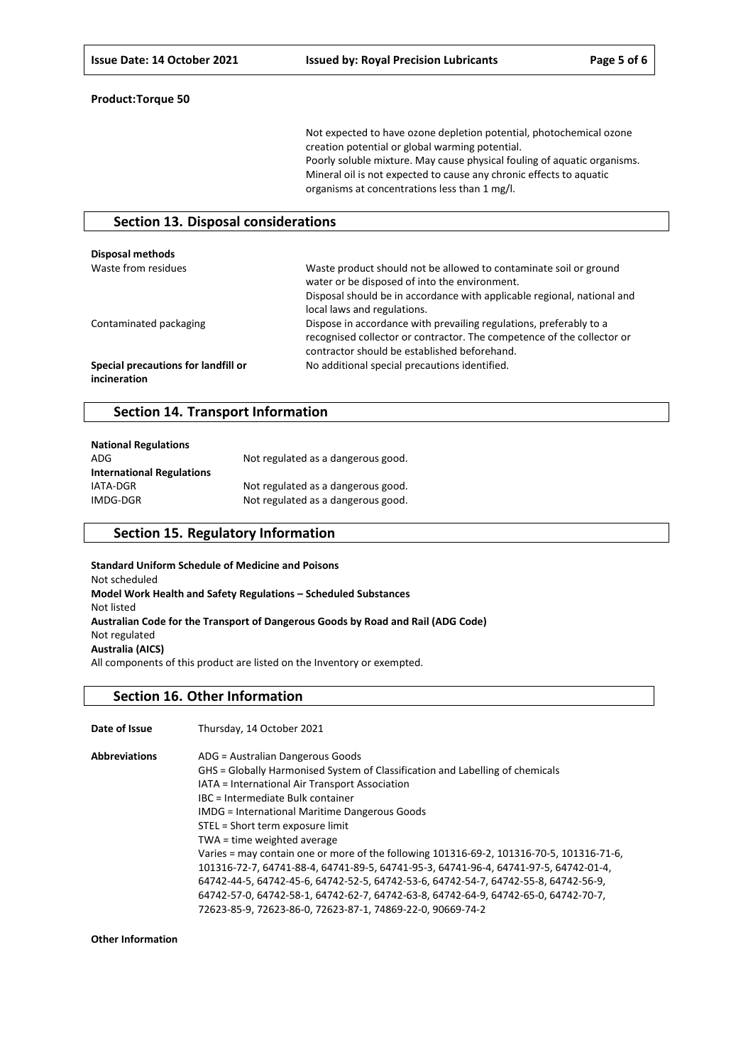Not expected to have ozone depletion potential, photochemical ozone creation potential or global warming potential. Poorly soluble mixture. May cause physical fouling of aquatic organisms. Mineral oil is not expected to cause any chronic effects to aquatic organisms at concentrations less than 1 mg/l.

## **Section 13. Disposal considerations**

| <b>Disposal methods</b>                             |                                                                                                                                                                                                                              |
|-----------------------------------------------------|------------------------------------------------------------------------------------------------------------------------------------------------------------------------------------------------------------------------------|
| Waste from residues                                 | Waste product should not be allowed to contaminate soil or ground<br>water or be disposed of into the environment.<br>Disposal should be in accordance with applicable regional, national and<br>local laws and regulations. |
| Contaminated packaging                              | Dispose in accordance with prevailing regulations, preferably to a<br>recognised collector or contractor. The competence of the collector or<br>contractor should be established beforehand.                                 |
| Special precautions for landfill or<br>incineration | No additional special precautions identified.                                                                                                                                                                                |

## **Section 14. Transport Information**

| <b>National Regulations</b>      |                                    |
|----------------------------------|------------------------------------|
| ADG                              | Not regulated as a dangerous good. |
| <b>International Regulations</b> |                                    |
| IATA-DGR                         | Not regulated as a dangerous good. |
| IMDG-DGR                         | Not regulated as a dangerous good. |

## **Section 15. Regulatory Information**

**Standard Uniform Schedule of Medicine and Poisons** Not scheduled **Model Work Health and Safety Regulations – Scheduled Substances** Not listed **Australian Code for the Transport of Dangerous Goods by Road and Rail (ADG Code)** Not regulated **Australia (AICS)** All components of this product are listed on the Inventory or exempted.

#### **Section 16. Other Information**

**Date of Issue** Thursday, 14 October 2021 **Abbreviations** ADG = Australian Dangerous Goods GHS = Globally Harmonised System of Classification and Labelling of chemicals IATA = International Air Transport Association

IBC = Intermediate Bulk container IMDG = International Maritime Dangerous Goods STEL = Short term exposure limit TWA = time weighted average Varies = may contain one or more of the following 101316-69-2, 101316-70-5, 101316-71-6, 101316-72-7, 64741-88-4, 64741-89-5, 64741-95-3, 64741-96-4, 64741-97-5, 64742-01-4, 64742-44-5, 64742-45-6, 64742-52-5, 64742-53-6, 64742-54-7, 64742-55-8, 64742-56-9, 64742-57-0, 64742-58-1, 64742-62-7, 64742-63-8, 64742-64-9, 64742-65-0, 64742-70-7, 72623-85-9, 72623-86-0, 72623-87-1, 74869-22-0, 90669-74-2

**Other Information**